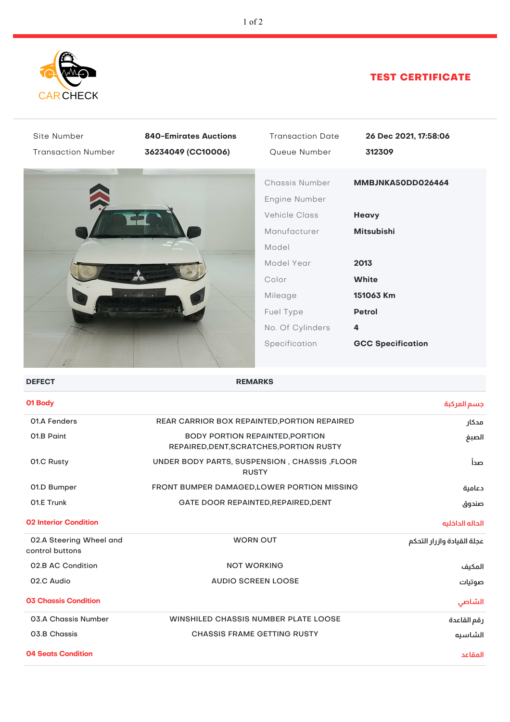

## TEST CERTIFICATE

| Site Number                                | <b>840-Emirates Auctions</b>                                                                | <b>Transaction Date</b> | 26 Dec 2021, 17:58:06      |
|--------------------------------------------|---------------------------------------------------------------------------------------------|-------------------------|----------------------------|
| <b>Transaction Number</b>                  | 36234049 (CC10006)                                                                          | Queue Number            | 312309                     |
|                                            |                                                                                             | Chassis Number          | MMBJNKA50DD026464          |
|                                            |                                                                                             | Engine Number           |                            |
|                                            |                                                                                             | <b>Vehicle Class</b>    | Heavy                      |
|                                            |                                                                                             | Manufacturer            | <b>Mitsubishi</b>          |
|                                            |                                                                                             | Model                   |                            |
|                                            |                                                                                             | Model Year              | 2013                       |
|                                            |                                                                                             |                         | <b>White</b>               |
|                                            |                                                                                             | Color                   |                            |
|                                            |                                                                                             | Mileage                 | 151063 Km                  |
|                                            |                                                                                             | Fuel Type               | <b>Petrol</b>              |
|                                            |                                                                                             | No. Of Cylinders        | 4                          |
|                                            |                                                                                             | Specification           | <b>GCC Specification</b>   |
| <b>DEFECT</b>                              |                                                                                             | <b>REMARKS</b>          |                            |
| 01 Body                                    |                                                                                             |                         | جسم المركبة                |
| 01.A Fenders                               | REAR CARRIOR BOX REPAINTED, PORTION REPAIRED<br>مدكار                                       |                         |                            |
| 01.B Paint                                 | <b>BODY PORTION REPAINTED, PORTION</b><br>الصبغ<br>REPAIRED, DENT, SCRATCHES, PORTION RUSTY |                         |                            |
| 01.C Rusty                                 | UNDER BODY PARTS, SUSPENSION, CHASSIS, FLOOR<br>صدأ<br><b>RUSTY</b>                         |                         |                            |
| 01.D Bumper                                | FRONT BUMPER DAMAGED, LOWER PORTION MISSING<br>دعامية                                       |                         |                            |
| 01.E Trunk                                 | GATE DOOR REPAINTED, REPAIRED, DENT<br>صندوق                                                |                         |                            |
| <b>02 Interior Condition</b>               |                                                                                             |                         | الحاله الداخليه            |
| 02.A Steering Wheel and<br>control buttons | <b>WORN OUT</b>                                                                             |                         | عجلة القيادة وازرار التحكم |
| 02.B AC Condition                          | <b>NOT WORKING</b><br>المكيف                                                                |                         |                            |
| 02.C Audio                                 | <b>AUDIO SCREEN LOOSE</b><br>صوتيات                                                         |                         |                            |
| <b>03 Chassis Condition</b>                |                                                                                             |                         | الشاصى                     |
| 03.A Chassis Number                        | <b>WINSHILED CHASSIS NUMBER PLATE LOOSE</b><br>رقم القاعدة                                  |                         |                            |
| 03.B Chassis                               | <b>CHASSIS FRAME GETTING RUSTY</b><br>الشاسيه                                               |                         |                            |

**04 Seats Condition المقاعد**